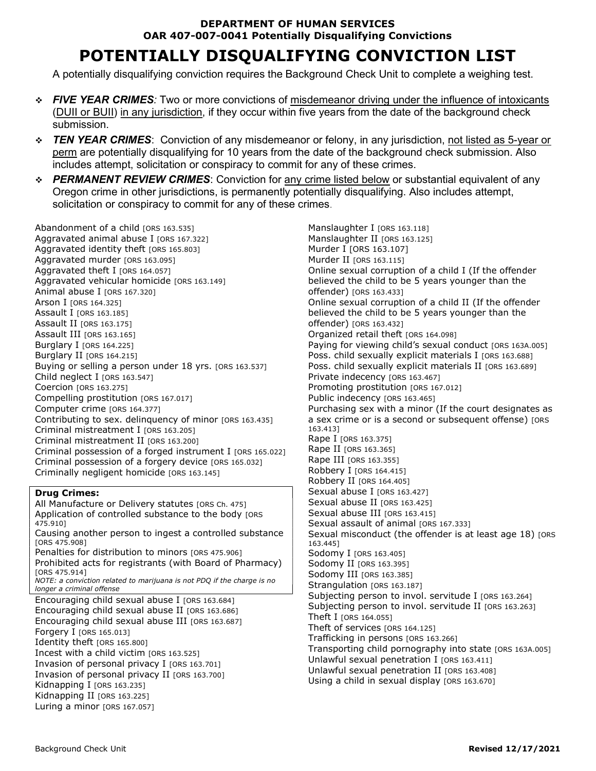### DEPARTMENT OF HUMAN SERVICES OAR 407-007-0041 Potentially Disqualifying Convictions

# POTENTIALLY DISQUALIFYING CONVICTION LIST

A potentially disqualifying conviction requires the Background Check Unit to complete a weighing test.

- FIVE YEAR CRIMES: Two or more convictions of misdemeanor driving under the influence of intoxicants (DUII or BUII) in any jurisdiction, if they occur within five years from the date of the background check submission.
- **↑ TEN YEAR CRIMES:** Conviction of any misdemeanor or felony, in any jurisdiction, not listed as 5-year or perm are potentially disqualifying for 10 years from the date of the background check submission. Also includes attempt, solicitation or conspiracy to commit for any of these crimes.
- $\div$  **PERMANENT REVIEW CRIMES**: Conviction for any crime listed below or substantial equivalent of any Oregon crime in other jurisdictions, is permanently potentially disqualifying. Also includes attempt, solicitation or conspiracy to commit for any of these crimes.

Abandonment of a child [ORS 163.535] Aggravated animal abuse I [ORS 167.322] Aggravated identity theft [ORS 165.803] Aggravated murder [ORS 163.095] Aggravated theft I [ORS 164.057] Aggravated vehicular homicide [ORS 163.149] Animal abuse I [ORS 167.320] Arson I [ORS 164.325] Assault I [ORS 163.185] Assault II [ORS 163.175] Assault III [ORS 163.165] Burglary I [ORS 164.225] Burglary II [ORS 164.215] Buying or selling a person under 18 yrs. [ORS 163.537] Child neglect I [ORS 163.547] Coercion [ORS 163.275] Compelling prostitution [ORS 167.017] Computer crime [ORS 164.377] Contributing to sex. delinquency of minor [ORS 163.435] Criminal mistreatment I [ORS 163.205] Criminal mistreatment II [ORS 163.200] Criminal possession of a forged instrument I [ORS 165.022] Criminal possession of a forgery device [ORS 165.032] Criminally negligent homicide [ORS 163.145]

#### Drug Crimes:

All Manufacture or Delivery statutes [ORS Ch. 475] Application of controlled substance to the body [ORS 475.910] Causing another person to ingest a controlled substance [ORS 475.908] Penalties for distribution to minors [ORS 475.906] Prohibited acts for registrants (with Board of Pharmacy) [ORS 475.914] NOTE: a conviction related to marijuana is not PDQ if the charge is no longer a criminal offense Encouraging child sexual abuse I [ORS 163.684] Encouraging child sexual abuse II [ORS 163.686] Encouraging child sexual abuse III [ORS 163.687] Forgery I [ORS 165.013] Identity theft [ORS 165.800] Incest with a child victim [ORS 163.525] Invasion of personal privacy I [ORS 163.701] Invasion of personal privacy II [ORS 163.700] Kidnapping I [ORS 163.235] Kidnapping II [ORS 163.225] Luring a minor [ORS 167.057]

Manslaughter I [ORS 163.118] Manslaughter II [ORS 163.125] Murder I [ORS 163.107] Murder II [ORS 163.115] Online sexual corruption of a child I (If the offender believed the child to be 5 years younger than the offender) [ORS 163.433] Online sexual corruption of a child II (If the offender believed the child to be 5 years younger than the offender) [ORS 163.432] Organized retail theft [ORS 164.098] Paying for viewing child's sexual conduct [ORS 163A.005] Poss. child sexually explicit materials I [ORS 163.688] Poss. child sexually explicit materials II [ORS 163.689] Private indecency [ORS 163.467] Promoting prostitution [ORS 167.012] Public indecency [ORS 163.465] Purchasing sex with a minor (If the court designates as a sex crime or is a second or subsequent offense) [ORS 163.413] Rape I [ORS 163.375] Rape II [ORS 163.365] Rape III [ORS 163.355] Robbery I [ORS 164.415] Robbery II [ORS 164.405] Sexual abuse I [ORS 163.427] Sexual abuse II [ORS 163.425] Sexual abuse III [ORS 163.415] Sexual assault of animal [ORS 167.333] Sexual misconduct (the offender is at least age 18) [ORS 163.445] Sodomy I [ORS 163.405] Sodomy II [ORS 163.395] Sodomy III [ORS 163.385] Strangulation [ORS 163.187] Subjecting person to invol. servitude I [ORS 163.264] Subjecting person to invol. servitude II [ORS 163.263] Theft I [ORS 164.055] Theft of services [ORS 164.125] Trafficking in persons [ORS 163.266] Transporting child pornography into state [ORS 163A.005] Unlawful sexual penetration I  $[ORS 163.411]$ Unlawful sexual penetration II [ORS 163.408] Using a child in sexual display [ORS 163.670]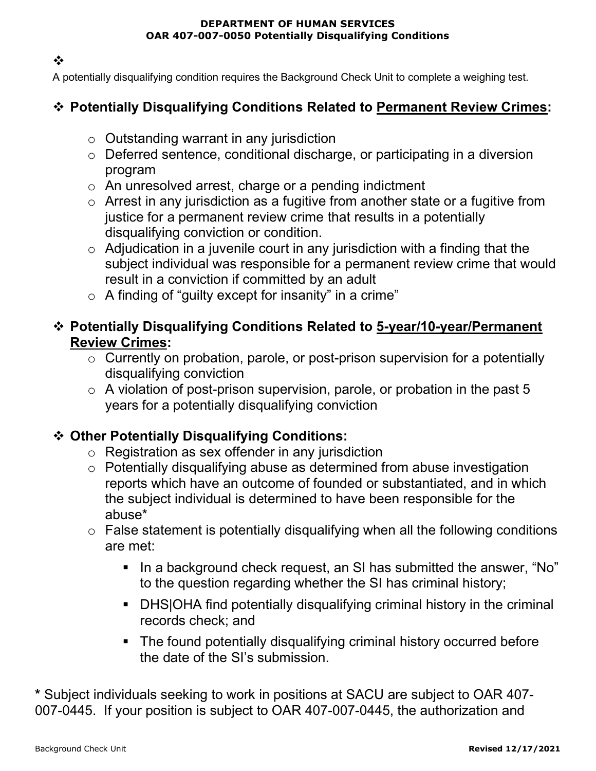#### DEPARTMENT OF HUMAN SERVICES OAR 407-007-0050 Potentially Disqualifying Conditions

 $\cdot$ 

A potentially disqualifying condition requires the Background Check Unit to complete a weighing test.

## Potentially Disqualifying Conditions Related to Permanent Review Crimes:

- o Outstanding warrant in any jurisdiction
- o Deferred sentence, conditional discharge, or participating in a diversion program
- o An unresolved arrest, charge or a pending indictment
- o Arrest in any jurisdiction as a fugitive from another state or a fugitive from justice for a permanent review crime that results in a potentially disqualifying conviction or condition.
- $\circ$  Adjudication in a juvenile court in any jurisdiction with a finding that the subject individual was responsible for a permanent review crime that would result in a conviction if committed by an adult
- $\circ$  A finding of "guilty except for insanity" in a crime"

### Potentially Disqualifying Conditions Related to 5-year/10-year/Permanent Review Crimes:

- o Currently on probation, parole, or post-prison supervision for a potentially disqualifying conviction
- $\circ$  A violation of post-prison supervision, parole, or probation in the past 5 years for a potentially disqualifying conviction

### Other Potentially Disqualifying Conditions:

- o Registration as sex offender in any jurisdiction
- o Potentially disqualifying abuse as determined from abuse investigation reports which have an outcome of founded or substantiated, and in which the subject individual is determined to have been responsible for the abuse\*
- $\circ$  False statement is potentially disqualifying when all the following conditions are met:
	- In a background check request, an SI has submitted the answer, "No" to the question regarding whether the SI has criminal history;
	- DHS|OHA find potentially disqualifying criminal history in the criminal records check; and
	- The found potentially disqualifying criminal history occurred before the date of the SI's submission.

\* Subject individuals seeking to work in positions at SACU are subject to OAR 407- 007-0445. If your position is subject to OAR 407-007-0445, the authorization and